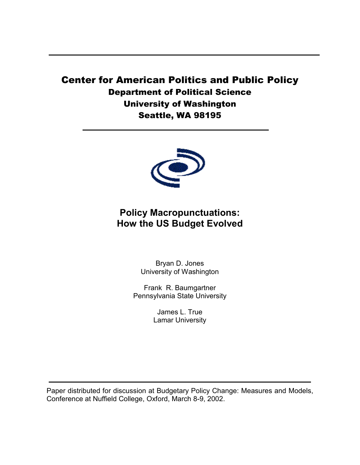# Center for American Politics and Public Policy Department of Political Science University of Washington Seattle, WA 98195



# **Policy Macropunctuations: How the US Budget Evolved**

Bryan D. Jones University of Washington

Frank R. Baumgartner Pennsylvania State University

> James L. True Lamar University

Paper distributed for discussion at Budgetary Policy Change: Measures and Models, Conference at Nuffield College, Oxford, March 8-9, 2002.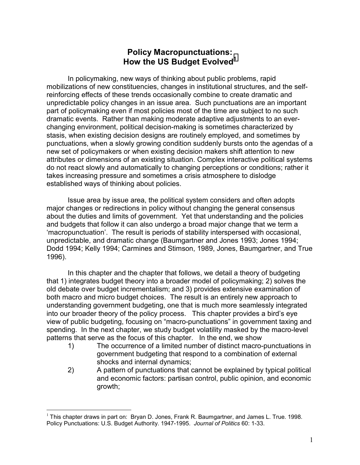# **Policy Macropunctuations: How the US Budget Evolved<sup>1</sup>**

In policymaking, new ways of thinking about public problems, rapid mobilizations of new constituencies, changes in institutional structures, and the selfreinforcing effects of these trends occasionally combine to create dramatic and unpredictable policy changes in an issue area. Such punctuations are an important part of policymaking even if most policies most of the time are subject to no such dramatic events. Rather than making moderate adaptive adjustments to an everchanging environment, political decision-making is sometimes characterized by stasis, when existing decision designs are routinely employed, and sometimes by punctuations, when a slowly growing condition suddenly bursts onto the agendas of a new set of policymakers or when existing decision makers shift attention to new attributes or dimensions of an existing situation. Complex interactive political systems do not react slowly and automatically to changing perceptions or conditions; rather it takes increasing pressure and sometimes a crisis atmosphere to dislodge established ways of thinking about policies.

Issue area by issue area, the political system considers and often adopts major changes or redirections in policy without changing the general consensus about the duties and limits of government. Yet that understanding and the policies and budgets that follow it can also undergo a broad major change that we term a 'macropunctuation'. The result is periods of stability interspersed with occasional, unpredictable, and dramatic change (Baumgartner and Jones 1993; Jones 1994; Dodd 1994; Kelly 1994; Carmines and Stimson, 1989, Jones, Baumgartner, and True 1996).

In this chapter and the chapter that follows, we detail a theory of budgeting that 1) integrates budget theory into a broader model of policymaking; 2) solves the old debate over budget incrementalism; and 3) provides extensive examination of both macro and micro budget choices. The result is an entirely new approach to understanding government budgeting, one that is much more seamlessly integrated into our broader theory of the policy process. This chapter provides a bird's eye view of public budgeting, focusing on "macro-punctuations" in government taxing and spending. In the next chapter, we study budget volatility masked by the macro-level patterns that serve as the focus of this chapter. In the end, we show

- 1) The occurrence of a limited number of distinct macro-punctuations in government budgeting that respond to a combination of external shocks and internal dynamics;
- 2) A pattern of punctuations that cannot be explained by typical political and economic factors: partisan control, public opinion, and economic growth;

 $\overline{a}$ <sup>1</sup> This chapter draws in part on: Bryan D. Jones, Frank R. Baumgartner, and James L. True. 1998. Policy Punctuations: U.S. Budget Authority. 1947-1995. *Journal of Politics* 60: 1-33.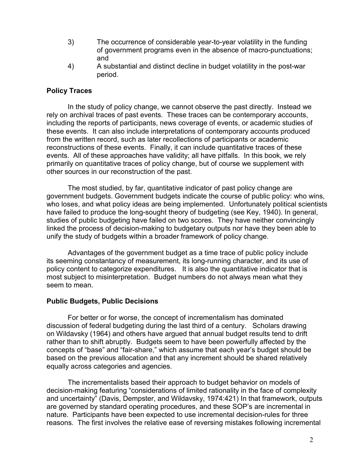- 3) The occurrence of considerable year-to-year volatility in the funding of government programs even in the absence of macro-punctuations; and
- 4) A substantial and distinct decline in budget volatility in the post-war period.

## **Policy Traces**

In the study of policy change, we cannot observe the past directly. Instead we rely on archival traces of past events. These traces can be contemporary accounts, including the reports of participants, news coverage of events, or academic studies of these events. It can also include interpretations of contemporary accounts produced from the written record, such as later recollections of participants or academic reconstructions of these events. Finally, it can include quantitative traces of these events. All of these approaches have validity; all have pitfalls. In this book, we rely primarily on quantitative traces of policy change, but of course we supplement with other sources in our reconstruction of the past.

The most studied, by far, quantitative indicator of past policy change are government budgets. Government budgets indicate the course of public policy: who wins, who loses, and what policy ideas are being implemented. Unfortunately political scientists have failed to produce the long-sought theory of budgeting (see Key, 1940). In general, studies of public budgeting have failed on two scores. They have neither convincingly linked the process of decision-making to budgetary outputs nor have they been able to unify the study of budgets within a broader framework of policy change.

Advantages of the government budget as a time trace of public policy include its seeming constantancy of measurement, its long-running character, and its use of policy content to categorize expenditures. It is also the quantitative indicator that is most subject to misinterpretation. Budget numbers do not always mean what they seem to mean.

### **Public Budgets, Public Decisions**

For better or for worse, the concept of incrementalism has dominated discussion of federal budgeting during the last third of a century. Scholars drawing on Wildavsky (1964) and others have argued that annual budget results tend to drift rather than to shift abruptly. Budgets seem to have been powerfully affected by the concepts of "base" and "fair-share," which assume that each year's budget should be based on the previous allocation and that any increment should be shared relatively equally across categories and agencies.

 The incrementalists based their approach to budget behavior on models of decision-making featuring "considerations of limited rationality in the face of complexity and uncertainty" (Davis, Dempster, and Wildavsky, 1974:421) In that framework, outputs are governed by standard operating procedures, and these SOP's are incremental in nature. Participants have been expected to use incremental decision-rules for three reasons. The first involves the relative ease of reversing mistakes following incremental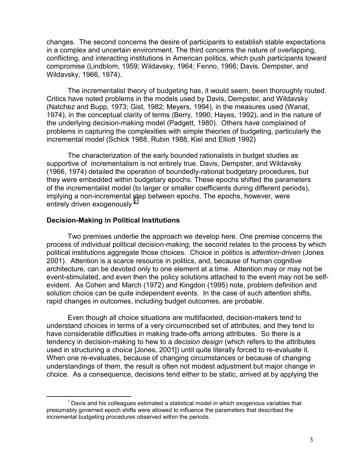changes. The second concerns the desire of participants to establish stable expectations in a complex and uncertain environment. The third concerns the nature of overlapping, conflicting, and interacting institutions in American politics, which push participants toward compromise (Lindblom, 1959; Wildavsky, 1964; Fenno, 1966; Davis, Dempster, and Wildavsky, 1966, 1974).

 The incrementalist theory of budgeting has, it would seem, been thoroughly routed. Critics have noted problems in the models used by Davis, Dempster, and Wildavsky (Natchez and Bupp, 1973; Gist, 1982; Meyers, 1994), in the measures used (Wanat, 1974), in the conceptual clarity of terms (Berry, 1990; Hayes, 1992), and in the nature of the underlying decision-making model (Padgett, 1980). Others have complained of problems in capturing the complexities with simple theories of budgeting, particularly the incremental model (Schick 1988, Rubin 1988, Kiel and Elliott 1992)

The characterization of the early bounded rationalists in budget studies as supportive of incrementalism is not entirely true. Davis, Dempster, and Wildavsky (1966, 1974) detailed the operation of boundedly-rational budgetary procedures, but they were embedded within budgetary epochs. These epochs shifted the parameters of the incrementalist model (to larger or smaller coefficients during different periods), implying a non-incremental step between epochs. The epochs, however, were entirely driven exogenously <sup>2</sup>

#### **Decision-Making in Political Institutions**

 Two premises underlie the approach we develop here. One premise concerns the process of individual political decision-making; the second relates to the process by which political institutions aggregate those choices. Choice in politics is *attention-driven* (Jones 2001).Attention is a scarce resource in politics, and, because of human cognitive architecture, can be devoted only to one element at a time. Attention may or may not be event-stimulated, and even then the policy solutions attached to the event may not be selfevident. As Cohen and March (1972) and Kingdon (1995) note, problem definition and solution choice can be quite independent events. In the case of such attention shifts, rapid changes in outcomes, including budget outcomes, are probable.

 Even though all choice situations are multifaceted, decision-makers tend to understand choices in terms of a very circumscribed set of attributes, and they tend to have considerable difficulties in making trade-offs among attributes. So there is a tendency in decision-making to hew to a *decision design* (which refers to the attributes used in structuring a choice [Jones, 2001]) until quite literally forced to re-evaluate it. When one re-evaluates, because of changing circumstances or because of changing understandings of them, the result is often not modest adjustment but major change in choice. As a consequence, decisions tend either to be static, arrived at by applying the

 $2$  Davis and his colleagues estimated a statistical model in which exogenous variables that presumably governed epoch shifts were allowed to influence the parameters that described the incremental budgeting procedures observed within the periods.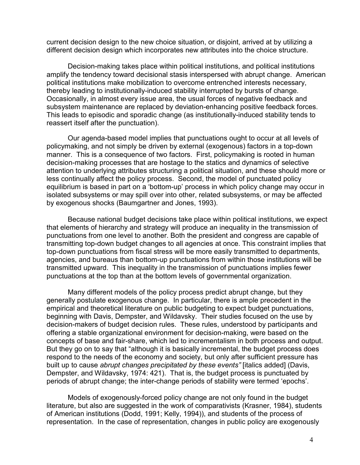current decision design to the new choice situation, or disjoint, arrived at by utilizing a different decision design which incorporates new attributes into the choice structure.

 Decision-making takes place within political institutions, and political institutions amplify the tendency toward decisional stasis interspersed with abrupt change. American political institutions make mobilization to overcome entrenched interests necessary, thereby leading to institutionally-induced stability interrupted by bursts of change. Occasionally, in almost every issue area, the usual forces of negative feedback and subsystem maintenance are replaced by deviation-enhancing positive feedback forces. This leads to episodic and sporadic change (as institutionally-induced stability tends to reassert itself after the punctuation).

 Our agenda-based model implies that punctuations ought to occur at all levels of policymaking, and not simply be driven by external (exogenous) factors in a top-down manner. This is a consequence of two factors. First, policymaking is rooted in human decision-making processes that are hostage to the statics and dynamics of selective attention to underlying attributes structuring a political situation, and these should more or less continually affect the policy process. Second, the model of punctuated policy equilibrium is based in part on a 'bottom-up' process in which policy change may occur in isolated subsystems or may spill over into other, related subsystems, or may be affected by exogenous shocks (Baumgartner and Jones, 1993).

 Because national budget decisions take place within political institutions, we expect that elements of hierarchy and strategy will produce an inequality in the transmission of punctuations from one level to another. Both the president and congress are capable of transmitting top-down budget changes to all agencies at once. This constraint implies that top-down punctuations from fiscal stress will be more easily transmitted to departments, agencies, and bureaus than bottom-up punctuations from within those institutions will be transmitted upward. This inequality in the transmission of punctuations implies fewer punctuations at the top than at the bottom levels of governmental organization.

 Many different models of the policy process predict abrupt change, but they generally postulate exogenous change. In particular, there is ample precedent in the empirical and theoretical literature on public budgeting to expect budget punctuations, beginning with Davis, Dempster, and Wildavsky. Their studies focused on the use by decision-makers of budget decision rules. These rules, understood by participants and offering a stable organizational environment for decision-making, were based on the concepts of base and fair-share, which led to incrementalism in both process and output. But they go on to say that "although it is basically incremental, the budget process does respond to the needs of the economy and society, but only after sufficient pressure has built up to cause *abrupt changes precipitated by these events"* [italics added] (Davis, Dempster, and Wildavsky, 1974: 421). That is, the budget process is punctuated by periods of abrupt change; the inter-change periods of stability were termed 'epochs'.

 Models of exogenously-forced policy change are not only found in the budget literature, but also are suggested in the work of comparativists (Krasner, 1984), students of American institutions (Dodd, 1991; Kelly, 1994)), and students of the process of representation. In the case of representation, changes in public policy are exogenously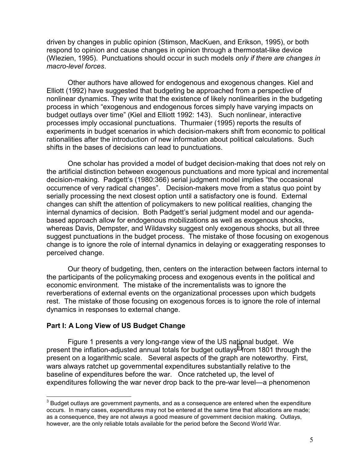driven by changes in public opinion (Stimson, MacKuen, and Erikson, 1995), or both respond to opinion and cause changes in opinion through a thermostat-like device (Wlezien, 1995). Punctuations should occur in such models *only if there are changes in macro-level forces*.

 Other authors have allowed for endogenous and exogenous changes. Kiel and Elliott (1992) have suggested that budgeting be approached from a perspective of nonlinear dynamics. They write that the existence of likely nonlinearities in the budgeting process in which "exogenous and endogenous forces simply have varying impacts on budget outlays over time" (Kiel and Elliott 1992: 143). Such nonlinear, interactive processes imply occasional punctuations. Thurmaier (1995) reports the results of experiments in budget scenarios in which decision-makers shift from economic to political rationalities after the introduction of new information about political calculations. Such shifts in the bases of decisions can lead to punctuations.

 One scholar has provided a model of budget decision-making that does not rely on the artificial distinction between exogenous punctuations and more typical and incremental decision-making. Padgett's (1980:366) serial judgment model implies "the occasional occurrence of very radical changes". Decision-makers move from a status quo point by serially processing the next closest option until a satisfactory one is found. External changes can shift the attention of policymakers to new political realities, changing the internal dynamics of decision. Both Padgett's serial judgment model and our agendabased approach allow for endogenous mobilizations as well as exogenous shocks, whereas Davis, Dempster, and Wildavsky suggest only exogenous shocks, but all three suggest punctuations in the budget process. The mistake of those focusing on exogenous change is to ignore the role of internal dynamics in delaying or exaggerating responses to perceived change.

 Our theory of budgeting, then, centers on the interaction between factors internal to the participants of the policymaking process and exogenous events in the political and economic environment. The mistake of the incrementalists was to ignore the reverberations of external events on the organizational processes upon which budgets rest. The mistake of those focusing on exogenous forces is to ignore the role of internal dynamics in responses to external change.

### **Part I: A Long View of US Budget Change**

 $\overline{a}$ 

Figure 1 presents a very long-range view of the US national budget. We present the inflation-adjusted annual totals for budget outlays<sup>3</sup> from 1801 through the present on a logarithmic scale. Several aspects of the graph are noteworthy. First, wars always ratchet up governmental expenditures substantially relative to the baseline of expenditures before the war. Once ratcheted up, the level of expenditures following the war never drop back to the pre-war level—a phenomenon

 $3$  Budget outlays are government payments, and as a consequence are entered when the expenditure occurs. In many cases, expenditures may not be entered at the same time that allocations are made; as a consequence, they are not always a good measure of government decision making. Outlays, however, are the only reliable totals available for the period before the Second World War.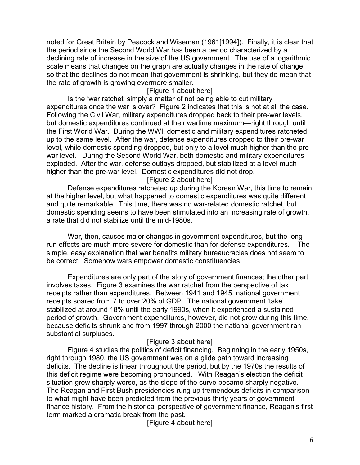noted for Great Britain by Peacock and Wiseman (1961[1994]). Finally, it is clear that the period since the Second World War has been a period characterized by a declining rate of increase in the size of the US government. The use of a logarithmic scale means that changes on the graph are actually changes in the rate of change, so that the declines do not mean that government is shrinking, but they do mean that the rate of growth is growing evermore smaller.

## [Figure 1 about here]

 Is the 'war ratchet' simply a matter of not being able to cut military expenditures once the war is over? Figure 2 indicates that this is not at all the case. Following the Civil War, military expenditures dropped back to their pre-war levels, but domestic expenditures continued at their wartime maximum—right through until the First World War. During the WWI, domestic and military expenditures ratcheted up to the same level. After the war, defense expenditures dropped to their pre-war level, while domestic spending dropped, but only to a level much higher than the prewar level. During the Second World War, both domestic and military expenditures exploded. After the war, defense outlays dropped, but stabilized at a level much higher than the pre-war level. Domestic expenditures did not drop.

## [Figure 2 about here]

 Defense expenditures ratcheted up during the Korean War, this time to remain at the higher level, but what happened to domestic expenditures was quite different and quite remarkable. This time, there was no war-related domestic ratchet, but domestic spending seems to have been stimulated into an increasing rate of growth, a rate that did not stabilize until the mid-1980s.

 War, then, causes major changes in government expenditures, but the longrun effects are much more severe for domestic than for defense expenditures. The simple, easy explanation that war benefits military bureaucracies does not seem to be correct. Somehow wars empower domestic constituencies.

 Expenditures are only part of the story of government finances; the other part involves taxes. Figure 3 examines the war ratchet from the perspective of tax receipts rather than expenditures. Between 1941 and 1945, national government receipts soared from 7 to over 20% of GDP. The national government 'take' stabilized at around 18% until the early 1990s, when it experienced a sustained period of growth. Government expenditures, however, did not grow during this time, because deficits shrunk and from 1997 through 2000 the national government ran substantial surpluses.

## [Figure 3 about here]

 Figure 4 studies the politics of deficit financing. Beginning in the early 1950s, right through 1980, the US government was on a glide path toward increasing deficits. The decline is linear throughout the period, but by the 1970s the results of this deficit regime were becoming pronounced. With Reagan's election the deficit situation grew sharply worse, as the slope of the curve became sharply negative. The Reagan and First Bush presidencies rung up tremendous deficits in comparison to what might have been predicted from the previous thirty years of government finance history. From the historical perspective of government finance, Reagan's first term marked a dramatic break from the past.

[Figure 4 about here]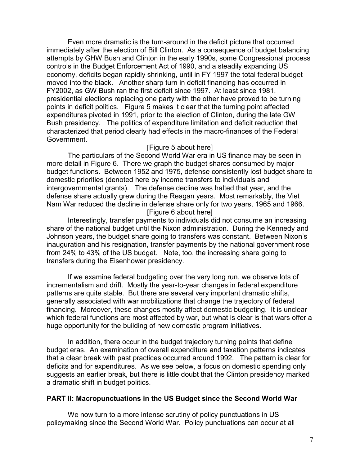Even more dramatic is the turn-around in the deficit picture that occurred immediately after the election of Bill Clinton. As a consequence of budget balancing attempts by GHW Bush and Clinton in the early 1990s, some Congressional process controls in the Budget Enforcement Act of 1990, and a steadily expanding US economy, deficits began rapidly shrinking, until in FY 1997 the total federal budget moved into the black. Another sharp turn in deficit financing has occurred in FY2002, as GW Bush ran the first deficit since 1997. At least since 1981, presidential elections replacing one party with the other have proved to be turning points in deficit politics. Figure 5 makes it clear that the turning point affected expenditures pivoted in 1991, prior to the election of Clinton, during the late GW Bush presidency. The politics of expenditure limitation and deficit reduction that characterized that period clearly had effects in the macro-finances of the Federal Government.

#### [Figure 5 about here]

 The particulars of the Second World War era in US finance may be seen in more detail in Figure 6. There we graph the budget shares consumed by major budget functions. Between 1952 and 1975, defense consistently lost budget share to domestic priorities (denoted here by income transfers to individuals and intergovernmental grants). The defense decline was halted that year, and the defense share actually grew during the Reagan years. Most remarkably, the Viet Nam War reduced the decline in defense share only for two years, 1965 and 1966. [Figure 6 about here]

 Interestingly, transfer payments to individuals did not consume an increasing share of the national budget until the Nixon administration. During the Kennedy and Johnson years, the budget share going to transfers was constant. Between Nixon's inauguration and his resignation, transfer payments by the national government rose from 24% to 43% of the US budget. Note, too, the increasing share going to transfers during the Eisenhower presidency.

 If we examine federal budgeting over the very long run, we observe lots of incrementalism and drift. Mostly the year-to-year changes in federal expenditure patterns are quite stable. But there are several very important dramatic shifts, generally associated with war mobilizations that change the trajectory of federal financing. Moreover, these changes mostly affect domestic budgeting. It is unclear which federal functions are most affected by war, but what is clear is that wars offer a huge opportunity for the building of new domestic program initiatives.

 In addition, there occur in the budget trajectory turning points that define budget eras. An examination of overall expenditure and taxation patterns indicates that a clear break with past practices occurred around 1992. The pattern is clear for deficits and for expenditures. As we see below, a focus on domestic spending only suggests an earlier break, but there is little doubt that the Clinton presidency marked a dramatic shift in budget politics.

#### **PART II: Macropunctuations in the US Budget since the Second World War**

We now turn to a more intense scrutiny of policy punctuations in US policymaking since the Second World War. Policy punctuations can occur at all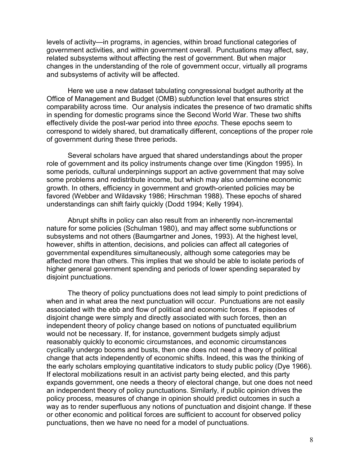levels of activity—in programs, in agencies, within broad functional categories of government activities, and within government overall. Punctuations may affect, say, related subsystems without affecting the rest of government. But when major changes in the understanding of the role of government occur, virtually all programs and subsystems of activity will be affected.

Here we use a new dataset tabulating congressional budget authority at the Office of Management and Budget (OMB) subfunction level that ensures strict comparability across time. Our analysis indicates the presence of two dramatic shifts in spending for domestic programs since the Second World War. These two shifts effectively divide the post-war period into three *epochs*. These epochs seem to correspond to widely shared, but dramatically different, conceptions of the proper role of government during these three periods.

Several scholars have argued that shared understandings about the proper role of government and its policy instruments change over time (Kingdon 1995). In some periods, cultural underpinnings support an active government that may solve some problems and redistribute income, but which may also undermine economic growth. In others, efficiency in government and growth-oriented policies may be favored (Webber and Wildavsky 1986; Hirschman 1988). These epochs of shared understandings can shift fairly quickly (Dodd 1994; Kelly 1994).

Abrupt shifts in policy can also result from an inherently non-incremental nature for some policies (Schulman 1980), and may affect some subfunctions or subsystems and not others (Baumgartner and Jones, 1993). At the highest level, however, shifts in attention, decisions, and policies can affect all categories of governmental expenditures simultaneously, although some categories may be affected more than others. This implies that we should be able to isolate periods of higher general government spending and periods of lower spending separated by disjoint punctuations.

The theory of policy punctuations does not lead simply to point predictions of when and in what area the next punctuation will occur. Punctuations are not easily associated with the ebb and flow of political and economic forces. If episodes of disjoint change were simply and directly associated with such forces, then an independent theory of policy change based on notions of punctuated equilibrium would not be necessary. If, for instance, government budgets simply adjust reasonably quickly to economic circumstances, and economic circumstances cyclically undergo booms and busts, then one does not need a theory of political change that acts independently of economic shifts. Indeed, this was the thinking of the early scholars employing quantitative indicators to study public policy (Dye 1966). If electoral mobilizations result in an activist party being elected, and this party expands government, one needs a theory of electoral change, but one does not need an independent theory of policy punctuations. Similarly, if public opinion drives the policy process, measures of change in opinion should predict outcomes in such a way as to render superfluous any notions of punctuation and disjoint change. If these or other economic and political forces are sufficient to account for observed policy punctuations, then we have no need for a model of punctuations.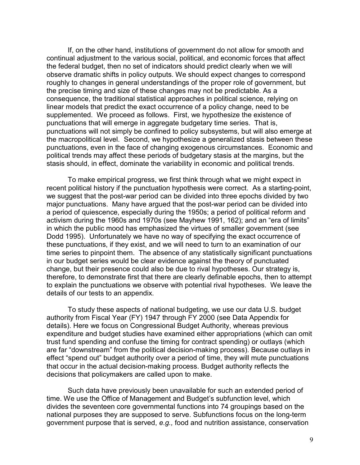If, on the other hand, institutions of government do not allow for smooth and continual adjustment to the various social, political, and economic forces that affect the federal budget, then no set of indicators should predict clearly when we will observe dramatic shifts in policy outputs. We should expect changes to correspond roughly to changes in general understandings of the proper role of government, but the precise timing and size of these changes may not be predictable. As a consequence, the traditional statistical approaches in political science, relying on linear models that predict the exact occurrence of a policy change, need to be supplemented. We proceed as follows. First, we hypothesize the existence of punctuations that will emerge in aggregate budgetary time series. That is, punctuations will not simply be confined to policy subsystems, but will also emerge at the macropolitical level. Second, we hypothesize a generalized stasis between these punctuations, even in the face of changing exogenous circumstances. Economic and political trends may affect these periods of budgetary stasis at the margins, but the stasis should, in effect, dominate the variability in economic and political trends.

To make empirical progress, we first think through what we might expect in recent political history if the punctuation hypothesis were correct. As a starting-point, we suggest that the post-war period can be divided into three epochs divided by two major punctuations. Many have argued that the post-war period can be divided into a period of quiescence, especially during the 1950s; a period of political reform and activism during the 1960s and 1970s (see Mayhew 1991, 162); and an "era of limits" in which the public mood has emphasized the virtues of smaller government (see Dodd 1995). Unfortunately we have no way of specifying the exact occurrence of these punctuations, if they exist, and we will need to turn to an examination of our time series to pinpoint them. The absence of any statistically significant punctuations in our budget series would be clear evidence against the theory of punctuated change, but their presence could also be due to rival hypotheses. Our strategy is, therefore, to demonstrate first that there are clearly definable epochs, then to attempt to explain the punctuations we observe with potential rival hypotheses. We leave the details of our tests to an appendix.

To study these aspects of national budgeting, we use our data U.S. budget authority from Fiscal Year (FY) 1947 through FY 2000 (see Data Appendix for details). Here we focus on Congressional Budget Authority, whereas previous expenditure and budget studies have examined either appropriations (which can omit trust fund spending and confuse the timing for contract spending) or outlays (which are far "downstream" from the political decision-making process). Because outlays in effect "spend out" budget authority over a period of time, they will mute punctuations that occur in the actual decision-making process. Budget authority reflects the decisions that policymakers are called upon to make.

Such data have previously been unavailable for such an extended period of time. We use the Office of Management and Budget's subfunction level, which divides the seventeen core governmental functions into 74 groupings based on the national purposes they are supposed to serve. Subfunctions focus on the long-term government purpose that is served, *e.g.,* food and nutrition assistance, conservation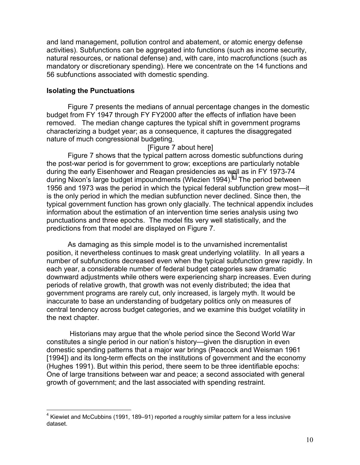and land management, pollution control and abatement, or atomic energy defense activities). Subfunctions can be aggregated into functions (such as income security, natural resources, or national defense) and, with care, into macrofunctions (such as mandatory or discretionary spending). Here we concentrate on the 14 functions and 56 subfunctions associated with domestic spending.

### **Isolating the Punctuations**

 $\overline{a}$ 

Figure 7 presents the medians of annual percentage changes in the domestic budget from FY 1947 through FY FY2000 after the effects of inflation have been removed. The median change captures the typical shift in government programs characterizing a budget year; as a consequence, it captures the disaggregated nature of much congressional budgeting.

### [Figure 7 about here]

Figure 7 shows that the typical pattern across domestic subfunctions during the post-war period is for government to grow; exceptions are particularly notable during the early Eisenhower and Reagan presidencies as well as in FY 1973-74 during Nixon's large budget impoundments (Wlezien 1994).<sup>4</sup> The period between 1956 and 1973 was the period in which the typical federal subfunction grew most—it is the only period in which the median subfunction never declined. Since then, the typical government function has grown only glacially. The technical appendix includes information about the estimation of an intervention time series analysis using two punctuations and three epochs. The model fits very well statistically, and the predictions from that model are displayed on Figure 7.

As damaging as this simple model is to the unvarnished incrementalist position, it nevertheless continues to mask great underlying volatility. In all years a number of subfunctions decreased even when the typical subfunction grew rapidly. In each year, a considerable number of federal budget categories saw dramatic downward adjustments while others were experiencing sharp increases. Even during periods of relative growth, that growth was not evenly distributed; the idea that government programs are rarely cut, only increased, is largely myth. It would be inaccurate to base an understanding of budgetary politics only on measures of central tendency across budget categories, and we examine this budget volatility in the next chapter.

 Historians may argue that the whole period since the Second World War constitutes a single period in our nation's history—given the disruption in even domestic spending patterns that a major war brings (Peacock and Weisman 1961 [1994]) and its long-term effects on the institutions of government and the economy (Hughes 1991). But within this period, there seem to be three identifiable epochs: One of large transitions between war and peace; a second associated with general growth of government; and the last associated with spending restraint.

 $4$  Kiewiet and McCubbins (1991, 189–91) reported a roughly similar pattern for a less inclusive dataset.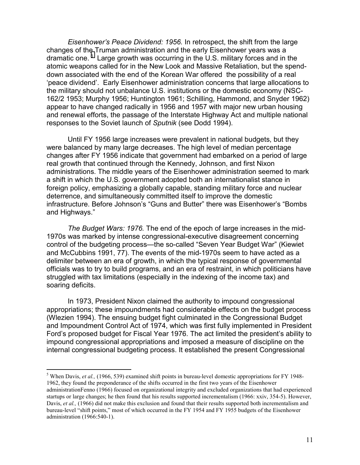*Eisenhower's Peace Dividend: 1956.* In retrospect, the shift from the large changes of the Truman administration and the early Eisenhower years was a dramatic one.<sup>5</sup> Large growth was occurring in the U.S. military forces and in the atomic weapons called for in the New Look and Massive Retaliation, but the spenddown associated with the end of the Korean War offered the possibility of a real 'peace dividend'. Early Eisenhower administration concerns that large allocations to the military should not unbalance U.S. institutions or the domestic economy (NSC-162/2 1953; Murphy 1956; Huntington 1961; Schilling, Hammond, and Snyder 1962) appear to have changed radically in 1956 and 1957 with major new urban housing and renewal efforts, the passage of the Interstate Highway Act and multiple national responses to the Soviet launch of *Sputnik* (see Dodd 1994).

Until FY 1956 large increases were prevalent in national budgets, but they were balanced by many large decreases. The high level of median percentage changes after FY 1956 indicate that government had embarked on a period of large real growth that continued through the Kennedy, Johnson, and first Nixon administrations. The middle years of the Eisenhower administration seemed to mark a shift in which the U.S. government adopted both an internationalist stance in foreign policy, emphasizing a globally capable, standing military force and nuclear deterrence, and simultaneously committed itself to improve the domestic infrastructure. Before Johnson's "Guns and Butter" there was Eisenhower's "Bombs and Highways."

*The Budget Wars: 1976.* The end of the epoch of large increases in the mid-1970s was marked by intense congressional-executive disagreement concerning control of the budgeting process—the so-called "Seven Year Budget War" (Kiewiet and McCubbins 1991, 77). The events of the mid-1970s seem to have acted as a delimiter between an era of growth, in which the typical response of governmental officials was to try to build programs, and an era of restraint, in which politicians have struggled with tax limitations (especially in the indexing of the income tax) and soaring deficits.

In 1973, President Nixon claimed the authority to impound congressional appropriations; these impoundments had considerable effects on the budget process (Wlezien 1994). The ensuing budget fight culminated in the Congressional Budget and Impoundment Control Act of 1974, which was first fully implemented in President Ford's proposed budget for Fiscal Year 1976. The act limited the president's ability to impound congressional appropriations and imposed a measure of discipline on the internal congressional budgeting process. It established the present Congressional

<sup>&</sup>lt;sup>5</sup> When Davis, *et al.*, (1966, 539) examined shift points in bureau-level domestic appropriations for FY 1948-1962, they found the preponderance of the shifts occurred in the first two years of the Eisenhower administrationFenno (1966) focused on organizational integrity and excluded organizations that had experienced startups or large changes; he then found that his results supported incrementalism (1966: xxiv, 354-5). However, Davis, *et al.*, (1966) did not make this exclusion and found that their results supported both incrementalism and bureau-level "shift points," most of which occurred in the FY 1954 and FY 1955 budgets of the Eisenhower administration (1966:540-1).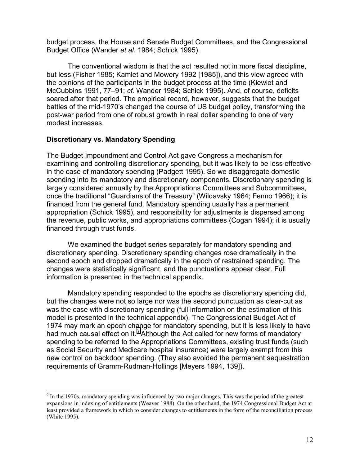budget process, the House and Senate Budget Committees, and the Congressional Budget Office (Wander *et al.* 1984; Schick 1995).

The conventional wisdom is that the act resulted not in more fiscal discipline, but less (Fisher 1985; Kamlet and Mowery 1992 [1985]), and this view agreed with the opinions of the participants in the budget process at the time (Kiewiet and McCubbins 1991, 77–91; *cf.* Wander 1984; Schick 1995). And, of course, deficits soared after that period. The empirical record, however, suggests that the budget battles of the mid-1970's changed the course of US budget policy, transforming the post-war period from one of robust growth in real dollar spending to one of very modest increases.

#### **Discretionary vs. Mandatory Spending**

 $\overline{a}$ 

The Budget Impoundment and Control Act gave Congress a mechanism for examining and controlling discretionary spending, but it was likely to be less effective in the case of mandatory spending (Padgett 1995). So we disaggregate domestic spending into its mandatory and discretionary components. Discretionary spending is largely considered annually by the Appropriations Committees and Subcommittees, once the traditional "Guardians of the Treasury" (Wildavsky 1964; Fenno 1966); it is financed from the general fund. Mandatory spending usually has a permanent appropriation (Schick 1995), and responsibility for adjustments is dispersed among the revenue, public works, and appropriations committees (Cogan 1994); it is usually financed through trust funds.

We examined the budget series separately for mandatory spending and discretionary spending. Discretionary spending changes rose dramatically in the second epoch and dropped dramatically in the epoch of restrained spending. The changes were statistically significant, and the punctuations appear clear. Full information is presented in the technical appendix.

Mandatory spending responded to the epochs as discretionary spending did, but the changes were not so large nor was the second punctuation as clear-cut as was the case with discretionary spending (full information on the estimation of this model is presented in the technical appendix). The Congressional Budget Act of 1974 may mark an epoch change for mandatory spending, but it is less likely to have had much causal effect on it.<sup>6</sup> Although the Act called for new forms of mandatory spending to be referred to the Appropriations Committees, existing trust funds (such as Social Security and Medicare hospital insurance) were largely exempt from this new control on backdoor spending. (They also avoided the permanent sequestration requirements of Gramm-Rudman-Hollings [Meyers 1994, 139]).

<sup>&</sup>lt;sup>6</sup> In the 1970s, mandatory spending was influenced by two major changes. This was the period of the greatest expansions in indexing of entitlements (Weaver 1988). On the other hand, the 1974 Congressional Budget Act at least provided a framework in which to consider changes to entitlements in the form of the reconciliation process (White 1995).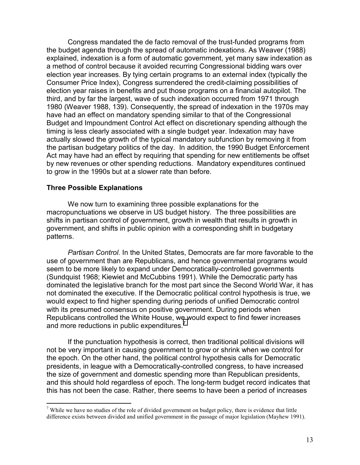Congress mandated the de facto removal of the trust-funded programs from the budget agenda through the spread of automatic indexations. As Weaver (1988) explained, indexation is a form of automatic government, yet many saw indexation as a method of control because it avoided recurring Congressional bidding wars over election year increases. By tying certain programs to an external index (typically the Consumer Price Index), Congress surrendered the credit-claiming possibilities of election year raises in benefits and put those programs on a financial autopilot. The third, and by far the largest, wave of such indexation occurred from 1971 through 1980 (Weaver 1988, 139). Consequently, the spread of indexation in the 1970s may have had an effect on mandatory spending similar to that of the Congressional Budget and Impoundment Control Act effect on discretionary spending although the timing is less clearly associated with a single budget year. Indexation may have actually slowed the growth of the typical mandatory subfunction by removing it from the partisan budgetary politics of the day. In addition, the 1990 Budget Enforcement Act may have had an effect by requiring that spending for new entitlements be offset by new revenues or other spending reductions. Mandatory expenditures continued to grow in the 1990s but at a slower rate than before.

#### **Three Possible Explanations**

 $\overline{a}$ 

We now turn to examining three possible explanations for the macropunctuations we observe in US budget history. The three possibilities are shifts in partisan control of government, growth in wealth that results in growth in government, and shifts in public opinion with a corresponding shift in budgetary patterns.

*Partisan Control.* In the United States, Democrats are far more favorable to the use of government than are Republicans, and hence governmental programs would seem to be more likely to expand under Democratically-controlled governments (Sundquist 1968; Kiewiet and McCubbins 1991). While the Democratic party has dominated the legislative branch for the most part since the Second World War, it has not dominated the executive. If the Democratic political control hypothesis is true, we would expect to find higher spending during periods of unified Democratic control with its presumed consensus on positive government. During periods when Republicans controlled the White House, we would expect to find fewer increases and more reductions in public expenditures.<sup>7</sup>

If the punctuation hypothesis is correct, then traditional political divisions will not be very important in causing government to grow or shrink when we control for the epoch. On the other hand, the political control hypothesis calls for Democratic presidents, in league with a Democratically-controlled congress, to have increased the size of government and domestic spending more than Republican presidents, and this should hold regardless of epoch. The long-term budget record indicates that this has not been the case. Rather, there seems to have been a period of increases

<sup>&</sup>lt;sup>7</sup> While we have no studies of the role of divided government on budget policy, there is evidence that little difference exists between divided and unified government in the passage of major legislation (Mayhew 1991).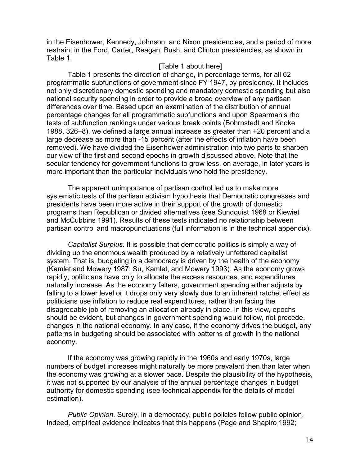in the Eisenhower, Kennedy, Johnson, and Nixon presidencies, and a period of more restraint in the Ford, Carter, Reagan, Bush, and Clinton presidencies, as shown in Table 1.

#### [Table 1 about here]

Table 1 presents the direction of change, in percentage terms, for all 62 programmatic subfunctions of government since FY 1947, by presidency. It includes not only discretionary domestic spending and mandatory domestic spending but also national security spending in order to provide a broad overview of any partisan differences over time. Based upon an examination of the distribution of annual percentage changes for all programmatic subfunctions and upon Spearman's rho tests of subfunction rankings under various break points (Bohrnstedt and Knoke 1988, 326–8), we defined a large annual increase as greater than +20 percent and a large decrease as more than -15 percent (after the effects of inflation have been removed). We have divided the Eisenhower administration into two parts to sharpen our view of the first and second epochs in growth discussed above. Note that the secular tendency for government functions to grow less, on average, in later years is more important than the particular individuals who hold the presidency.

The apparent unimportance of partisan control led us to make more systematic tests of the partisan activism hypothesis that Democratic congresses and presidents have been more active in their support of the growth of domestic programs than Republican or divided alternatives (see Sundquist 1968 or Kiewiet and McCubbins 1991). Results of these tests indicated no relationship between partisan control and macropunctuations (full information is in the technical appendix).

*Capitalist Surplus*. It is possible that democratic politics is simply a way of dividing up the enormous wealth produced by a relatively unfettered capitalist system. That is, budgeting in a democracy is driven by the health of the economy (Kamlet and Mowery 1987; Su, Kamlet, and Mowery 1993). As the economy grows rapidly, politicians have only to allocate the excess resources, and expenditures naturally increase. As the economy falters, government spending either adjusts by falling to a lower level or it drops only very slowly due to an inherent ratchet effect as politicians use inflation to reduce real expenditures, rather than facing the disagreeable job of removing an allocation already in place. In this view, epochs should be evident, but changes in government spending would follow, not precede, changes in the national economy. In any case, if the economy drives the budget, any patterns in budgeting should be associated with patterns of growth in the national economy.

If the economy was growing rapidly in the 1960s and early 1970s, large numbers of budget increases might naturally be more prevalent then than later when the economy was growing at a slower pace. Despite the plausibility of the hypothesis, it was not supported by our analysis of the annual percentage changes in budget authority for domestic spending (see technical appendix for the details of model estimation).

*Public Opinion.* Surely, in a democracy, public policies follow public opinion. Indeed, empirical evidence indicates that this happens (Page and Shapiro 1992;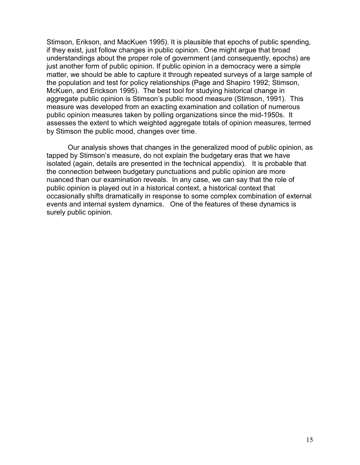Stimson, Erikson, and MacKuen 1995). It is plausible that epochs of public spending, if they exist, just follow changes in public opinion. One might argue that broad understandings about the proper role of government (and consequently, epochs) are just another form of public opinion. If public opinion in a democracy were a simple matter, we should be able to capture it through repeated surveys of a large sample of the population and test for policy relationships (Page and Shapiro 1992; Stimson, McKuen, and Erickson 1995). The best tool for studying historical change in aggregate public opinion is Stimson's public mood measure (Stimson, 1991). This measure was developed from an exacting examination and collation of numerous public opinion measures taken by polling organizations since the mid-1950s. It assesses the extent to which weighted aggregate totals of opinion measures, termed by Stimson the public mood, changes over time.

Our analysis shows that changes in the generalized mood of public opinion, as tapped by Stimson's measure, do not explain the budgetary eras that we have isolated (again, details are presented in the technical appendix). It is probable that the connection between budgetary punctuations and public opinion are more nuanced than our examination reveals. In any case, we can say that the role of public opinion is played out in a historical context, a historical context that occasionally shifts dramatically in response to some complex combination of external events and internal system dynamics. One of the features of these dynamics is surely public opinion.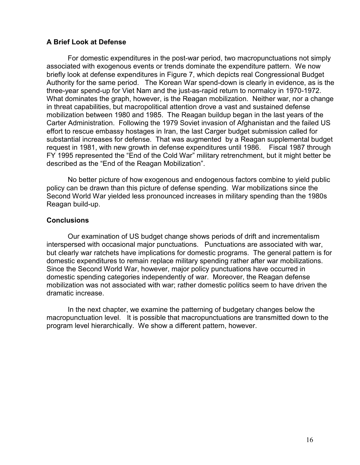### **A Brief Look at Defense**

For domestic expenditures in the post-war period, two macropunctuations not simply associated with exogenous events or trends dominate the expenditure pattern. We now briefly look at defense expenditures in Figure 7, which depicts real Congressional Budget Authority for the same period. The Korean War spend-down is clearly in evidence, as is the three-year spend-up for Viet Nam and the just-as-rapid return to normalcy in 1970-1972. What dominates the graph, however, is the Reagan mobilization. Neither war, nor a change in threat capabilities, but macropolitical attention drove a vast and sustained defense mobilization between 1980 and 1985. The Reagan buildup began in the last years of the Carter Administration. Following the 1979 Soviet invasion of Afghanistan and the failed US effort to rescue embassy hostages in Iran, the last Carger budget submission called for substantial increases for defense. That was augmented by a Reagan supplemental budget request in 1981, with new growth in defense expenditures until 1986. Fiscal 1987 through FY 1995 represented the "End of the Cold War" military retrenchment, but it might better be described as the "End of the Reagan Mobilization".

No better picture of how exogenous and endogenous factors combine to yield public policy can be drawn than this picture of defense spending. War mobilizations since the Second World War yielded less pronounced increases in military spending than the 1980s Reagan build-up.

### **Conclusions**

Our examination of US budget change shows periods of drift and incrementalism interspersed with occasional major punctuations. Punctuations are associated with war, but clearly war ratchets have implications for domestic programs. The general pattern is for domestic expenditures to remain replace military spending rather after war mobilizations. Since the Second World War, however, major policy punctuations have occurred in domestic spending categories independently of war. Moreover, the Reagan defense mobilization was not associated with war; rather domestic politics seem to have driven the dramatic increase.

In the next chapter, we examine the patterning of budgetary changes below the macropunctuation level. It is possible that macropunctuations are transmitted down to the program level hierarchically. We show a different pattern, however.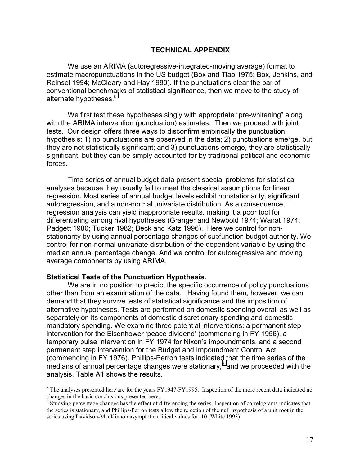#### **TECHNICAL APPENDIX**

We use an ARIMA (autoregressive-integrated-moving average) format to estimate macropunctuations in the US budget (Box and Tiao 1975; Box, Jenkins, and Reinsel 1994; McCleary and Hay 1980). If the punctuations clear the bar of conventional benchmarks of statistical significance, then we move to the study of alternate hypotheses.<sup>8</sup>

We first test these hypotheses singly with appropriate "pre-whitening" along with the ARIMA intervention (punctuation) estimates. Then we proceed with joint tests. Our design offers three ways to disconfirm empirically the punctuation hypothesis: 1) no punctuations are observed in the data; 2) punctuations emerge, but they are not statistically significant; and 3) punctuations emerge, they are statistically significant, but they can be simply accounted for by traditional political and economic forces.

Time series of annual budget data present special problems for statistical analyses because they usually fail to meet the classical assumptions for linear regression. Most series of annual budget levels exhibit nonstationarity, significant autoregression, and a non-normal univariate distribution. As a consequence, regression analysis can yield inappropriate results, making it a poor tool for differentiating among rival hypotheses (Granger and Newbold 1974; Wanat 1974; Padgett 1980; Tucker 1982; Beck and Katz 1996). Here we control for nonstationarity by using annual percentage changes of subfunction budget authority. We control for non-normal univariate distribution of the dependent variable by using the median annual percentage change. And we control for autoregressive and moving average components by using ARIMA.

#### **Statistical Tests of the Punctuation Hypothesis.**

 $\overline{a}$ 

We are in no position to predict the specific occurrence of policy punctuations other than from an examination of the data. Having found them, however, we can demand that they survive tests of statistical significance and the imposition of alternative hypotheses. Tests are performed on domestic spending overall as well as separately on its components of domestic discretionary spending and domestic mandatory spending. We examine three potential interventions: a permanent step intervention for the Eisenhower 'peace dividend' (commencing in FY 1956), a temporary pulse intervention in FY 1974 for Nixon's impoundments, and a second permanent step intervention for the Budget and Impoundment Control Act (commencing in FY 1976). Phillips-Perron tests indicated that the time series of the medians of annual percentage changes were stationary, $9$  and we proceeded with the analysis. Table A1 shows the results.

<sup>&</sup>lt;sup>8</sup> The analyses presented here are for the years FY1947-FY1995. Inspection of the more recent data indicated no changes in the basic conclusions presented here.

<sup>&</sup>lt;sup>9</sup> Studying percentage changes has the effect of differencing the series. Inspection of correlograms indicates that the series is stationary, and Phillips-Perron tests allow the rejection of the null hypothesis of a unit root in the series using Davidson-MacKinnon asymptotic critical values for .10 (White 1993).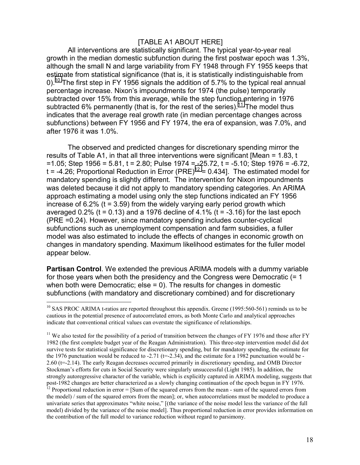### [TABLE A1 ABOUT HERE]

All interventions are statistically significant. The typical year-to-year real growth in the median domestic subfunction during the first postwar epoch was 1.3%, although the small N and large variability from FY 1948 through FY 1955 keeps that estimate from statistical significance (that is, it is statistically indistinguishable from 0).<sup>10</sup> The first step in FY 1956 signals the addition of 5.7% to the typical real annual percentage increase. Nixon's impoundments for 1974 (the pulse) temporarily subtracted over 15% from this average, while the step function entering in 1976 subtracted 6% permanently (that is, for the rest of the series).<sup>11</sup> The model thus indicates that the average real growth rate (in median percentage changes across subfunctions) between FY 1956 and FY 1974, the era of expansion, was 7.0%, and after 1976 it was 1.0%.

The observed and predicted changes for discretionary spending mirror the results of Table A1, in that all three interventions were significant [Mean = 1.83, t  $=1.05$ ; Step 1956 = 5.81, t = 2.80; Pulse 1974 = -25.72, t = -5.10; Step 1976 = -6.72, t = -4.26; Proportional Reduction in Error  $(PRE)^{12} = 0.434$ . The estimated model for mandatory spending is slightly different. The intervention for Nixon impoundments was deleted because it did not apply to mandatory spending categories. An ARIMA approach estimating a model using only the step functions indicated an FY 1956 increase of  $6.2\%$  (t = 3.59) from the widely varying early period growth which averaged  $0.2\%$  (t = 0.13) and a 1976 decline of 4.1% (t = -3.16) for the last epoch (PRE =0.24). However, since mandatory spending includes counter-cyclical subfunctions such as unemployment compensation and farm subsidies, a fuller model was also estimated to include the effects of changes in economic growth on changes in mandatory spending. Maximum likelihood estimates for the fuller model appear below.

**Partisan Control**. We extended the previous ARIMA models with a dummy variable for those years when both the presidency and the Congress were Democratic (= 1 when both were Democratic; else = 0). The results for changes in domestic subfunctions (with mandatory and discretionary combined) and for discretionary

<sup>&</sup>lt;sup>10</sup> SAS PROC ARIMA t-ratios are reported throughout this appendix. Greene (1995:560-561) reminds us to be cautious in the potential presence of autocorrelated errors, as both Monte Carlo and analytical approaches indicate that conventional critical values can overstate the significance of relationships.

<sup>&</sup>lt;sup>11</sup> We also tested for the possibility of a period of transition between the changes of FY 1976 and those after FY 1982 (the first complete budget year of the Reagan Administration). This three-step intervention model did dot survive tests for statistical significance for discretionary spending, but for mandatory spending, the estimate for the 1976 punctuation would be reduced to  $-2.71$  ( $t=-2.34$ ), and the estimate for a 1982 punctuation would be -2.60 (t=-2.14). The early Reagan decreases occurred primarily in discretionary spending, and OMB Director Stockman's efforts for cuts in Social Security were singularly unsuccessful (Light 1985). In addition, the strongly autoregressive character of the variable, which is explicitly captured in ARIMA modeling, suggests that post-1982 changes are better characterized as a slowly changing continuation of the epoch begun in FY 1976. <sup>12</sup> Proportional reduction in error  $=$  [Sum of the squared errors from the mean - sum of the squared errors from the model) / sum of the squared errors from the mean]; or, when autocorrelations must be modeled to produce a univariate series that approximates "white noise," [(the variance of the noise model less the variance of the full model) divided by the variance of the noise model]. Thus proportional reduction in error provides information on the contribution of the full model to variance reduction without regard to parsimony.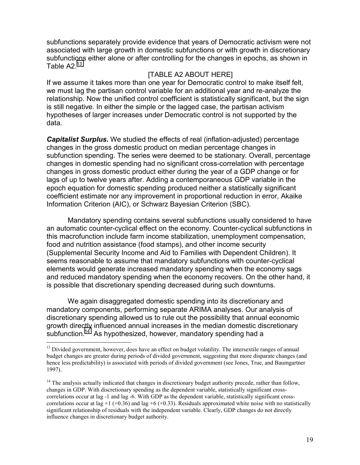subfunctions separately provide evidence that years of Democratic activism were not associated with large growth in domestic subfunctions or with growth in discretionary subfunctions either alone or after controlling for the changes in epochs, as shown in Table  $A2<sup>13</sup>$ 

## [TABLE A2 ABOUT HERE]

If we assume it takes more than one year for Democratic control to make itself felt, we must lag the partisan control variable for an additional year and re-analyze the relationship. Now the unified control coefficient is statistically significant, but the sign is still negative. In either the simple or the lagged case, the partisan activism hypotheses of larger increases under Democratic control is not supported by the data.

*Capitalist Surplus.* We studied the effects of real (inflation-adjusted) percentage changes in the gross domestic product on median percentage changes in subfunction spending. The series were deemed to be stationary. Overall, percentage changes in domestic spending had no significant cross-correlation with percentage changes in gross domestic product either during the year of a GDP change or for lags of up to twelve years after. Adding a contemporaneous GDP variable in the epoch equation for domestic spending produced neither a statistically significant coefficient estimate nor any improvement in proportional reduction in error, Akaike Information Criterion (AIC), or Schwarz Bayesian Criterion (SBC).

Mandatory spending contains several subfunctions usually considered to have an automatic counter-cyclical effect on the economy. Counter-cyclical subfunctions in this macrofunction include farm income stabilization, unemployment compensation, food and nutrition assistance (food stamps), and other income security (Supplemental Security Income and Aid to Families with Dependent Children). It seems reasonable to assume that mandatory subfunctions with counter-cyclical elements would generate increased mandatory spending when the economy sags and reduced mandatory spending when the economy recovers. On the other hand, it is possible that discretionary spending decreased during such downturns.

We again disaggregated domestic spending into its discretionary and mandatory components, performing separate ARIMA analyses. Our analysis of discretionary spending allowed us to rule out the possibility that annual economic growth directly influenced annual increases in the median domestic discretionary subfunction.<sup>14</sup> As hypothesized, however, mandatory spending had a

<sup>&</sup>lt;sup>13</sup> Divided government, however, does have an effect on budget volatility. The intersextile ranges of annual budget changes are greater during periods of divided government, suggesting that more disparate changes (and hence less predictability) is associated with periods of divided government (see Jones, True, and Baumgartner 1997).

<sup>&</sup>lt;sup>14</sup> The analysis actually indicated that changes in discretionary budget authority precede, rather than follow, changes in GDP. With discretionary spending as the dependent variable, statistically significant crosscorrelations occur at lag -1 and lag -6. With GDP as the dependent variable, statistically significant crosscorrelations occur at lag +1 (+0.36) and lag +6 (+0.33). Residuals approximated white noise with no statistically significant relationship of residuals with the independent variable. Clearly, GDP changes do not directly influence changes in discretionary budget authority.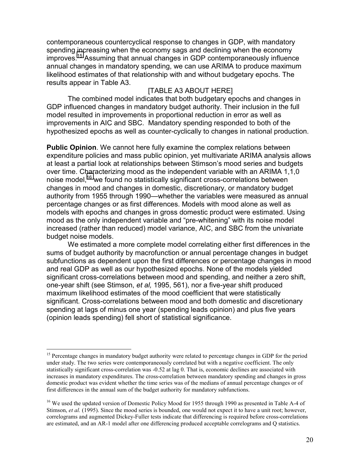contemporaneous countercyclical response to changes in GDP, with mandatory spending increasing when the economy sags and declining when the economy improves.15 Assuming that annual changes in GDP contemporaneously influence annual changes in mandatory spending, we can use ARIMA to produce maximum likelihood estimates of that relationship with and without budgetary epochs. The results appear in Table A3.

### [TABLE A3 ABOUT HERE]

The combined model indicates that both budgetary epochs and changes in GDP influenced changes in mandatory budget authority. Their inclusion in the full model resulted in improvements in proportional reduction in error as well as improvements in AIC and SBC. Mandatory spending responded to both of the hypothesized epochs as well as counter-cyclically to changes in national production.

**Public Opinion**. We cannot here fully examine the complex relations between expenditure policies and mass public opinion, yet multivariate ARIMA analysis allows at least a partial look at relationships between Stimson's mood series and budgets over time. Characterizing mood as the independent variable with an ARIMA 1,1,0 noise model,<sup>16</sup> we found no statistically significant cross-correlations between changes in mood and changes in domestic, discretionary, or mandatory budget authority from 1955 through 1990—whether the variables were measured as annual percentage changes or as first differences. Models with mood alone as well as models with epochs and changes in gross domestic product were estimated. Using mood as the only independent variable and "pre-whitening" with its noise model increased (rather than reduced) model variance, AIC, and SBC from the univariate budget noise models.

We estimated a more complete model correlating either first differences in the sums of budget authority by macrofunction or annual percentage changes in budget subfunctions as dependent upon the first differences or percentage changes in mood and real GDP as well as our hypothesized epochs. None of the models yielded significant cross-correlations between mood and spending, and neither a zero shift, one-year shift (see Stimson, *et al,* 1995, 561), nor a five-year shift produced maximum likelihood estimates of the mood coefficient that were statistically significant. Cross-correlations between mood and both domestic and discretionary spending at lags of minus one year (spending leads opinion) and plus five years (opinion leads spending) fell short of statistical significance.

<sup>&</sup>lt;sup>15</sup> Percentage changes in mandatory budget authority were related to percentage changes in GDP for the period under study. The two series were contemporaneously correlated but with a negative coefficient. The only statistically significant cross-correlation was -0.52 at lag 0. That is, economic declines are associated with increases in mandatory expenditures. The cross-correlation between mandatory spending and changes in gross domestic product was evident whether the time series was of the medians of annual percentage changes or of first differences in the annual sum of the budget authority for mandatory subfunctions.

<sup>&</sup>lt;sup>16</sup> We used the updated version of Domestic Policy Mood for 1955 through 1990 as presented in Table A-4 of Stimson, *et al.* (1995). Since the mood series is bounded, one would not expect it to have a unit root; however, correlograms and augmented Dickey-Fuller tests indicate that differencing is required before cross-correlations are estimated, and an AR-1 model after one differencing produced acceptable correlograms and Q statistics.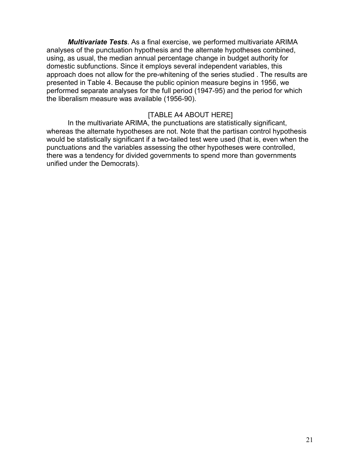*Multivariate Tests*. As a final exercise, we performed multivariate ARIMA analyses of the punctuation hypothesis and the alternate hypotheses combined, using, as usual, the median annual percentage change in budget authority for domestic subfunctions. Since it employs several independent variables, this approach does not allow for the pre-whitening of the series studied . The results are presented in Table 4. Because the public opinion measure begins in 1956, we performed separate analyses for the full period (1947-95) and the period for which the liberalism measure was available (1956-90).

#### [TABLE A4 ABOUT HERE]

In the multivariate ARIMA, the punctuations are statistically significant, whereas the alternate hypotheses are not. Note that the partisan control hypothesis would be statistically significant if a two-tailed test were used (that is, even when the punctuations and the variables assessing the other hypotheses were controlled, there was a tendency for divided governments to spend more than governments unified under the Democrats).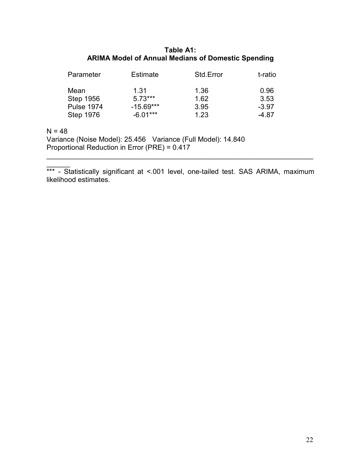## **Table A1: ARIMA Model of Annual Medians of Domestic Spending**

| Parameter         | <b>Estimate</b> | Std.Error | t-ratio |
|-------------------|-----------------|-----------|---------|
| Mean              | 1.31            | 1.36      | 0.96    |
| <b>Step 1956</b>  | $5.73***$       | 1.62      | 3.53    |
| <b>Pulse 1974</b> | $-15.69***$     | 3.95      | $-3.97$ |
| <b>Step 1976</b>  | $-6.01***$      | 1.23      | -4.87   |
|                   |                 |           |         |

 $N = 48$ 

Variance (Noise Model): 25.456 Variance (Full Model): 14.840 Proportional Reduction in Error (PRE) = 0.417

 $\overline{\phantom{a}}$ \*\*\* - Statistically significant at <.001 level, one-tailed test. SAS ARIMA, maximum likelihood estimates.

 $\mathcal{L}_\mathcal{L} = \mathcal{L}_\mathcal{L} = \mathcal{L}_\mathcal{L} = \mathcal{L}_\mathcal{L} = \mathcal{L}_\mathcal{L} = \mathcal{L}_\mathcal{L} = \mathcal{L}_\mathcal{L} = \mathcal{L}_\mathcal{L} = \mathcal{L}_\mathcal{L} = \mathcal{L}_\mathcal{L} = \mathcal{L}_\mathcal{L} = \mathcal{L}_\mathcal{L} = \mathcal{L}_\mathcal{L} = \mathcal{L}_\mathcal{L} = \mathcal{L}_\mathcal{L} = \mathcal{L}_\mathcal{L} = \mathcal{L}_\mathcal{L}$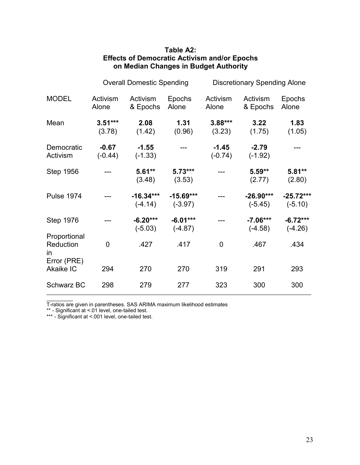|                                  | <b>Overall Domestic Spending</b> |                          | <b>Discretionary Spending Alone</b> |                      |                          |                          |
|----------------------------------|----------------------------------|--------------------------|-------------------------------------|----------------------|--------------------------|--------------------------|
| <b>MODEL</b>                     | Activism<br>Alone                | Activism<br>& Epochs     | Epochs<br>Alone                     | Activism<br>Alone    | Activism<br>& Epochs     | <b>Epochs</b><br>Alone   |
| Mean                             | $3.51***$<br>(3.78)              | 2.08<br>(1.42)           | 1.31<br>(0.96)                      | $3.88***$<br>(3.23)  | 3.22<br>(1.75)           | 1.83<br>(1.05)           |
| Democratic<br>Activism           | $-0.67$<br>$(-0.44)$             | $-1.55$<br>$(-1.33)$     |                                     | $-1.45$<br>$(-0.74)$ | $-2.79$<br>$(-1.92)$     |                          |
| <b>Step 1956</b>                 |                                  | $5.61**$<br>(3.48)       | $5.73***$<br>(3.53)                 |                      | $5.59**$<br>(2.77)       | $5.81**$<br>(2.80)       |
| <b>Pulse 1974</b>                |                                  | $-16.34***$<br>$(-4.14)$ | $-15.69***$<br>$(-3.97)$            |                      | $-26.90***$<br>$(-5.45)$ | $-25.72***$<br>$(-5.10)$ |
| <b>Step 1976</b>                 |                                  | $-6.20***$<br>$(-5.03)$  | $-6.01***$<br>$(-4.87)$             |                      | $-7.06***$<br>$(-4.58)$  | $-6.72***$<br>$(-4.26)$  |
| Proportional<br>Reduction<br>in. | 0                                | .427                     | .417                                | $\overline{0}$       | .467                     | .434                     |
| Error (PRE)<br><b>Akaike IC</b>  | 294                              | 270                      | 270                                 | 319                  | 291                      | 293                      |
| <b>Schwarz BC</b>                | 298                              | 279                      | 277                                 | 323                  | 300                      | 300                      |

## **Table A2: Effects of Democratic Activism and/or Epochs on Median Changes in Budget Authority**

T-ratios are given in parentheses. SAS ARIMA maximum likelihood estimates

\*\* - Significant at <.01 level, one-tailed test.

 $\frac{1}{2}$ 

\*\*\* - Significant at <.001 level, one-tailed test.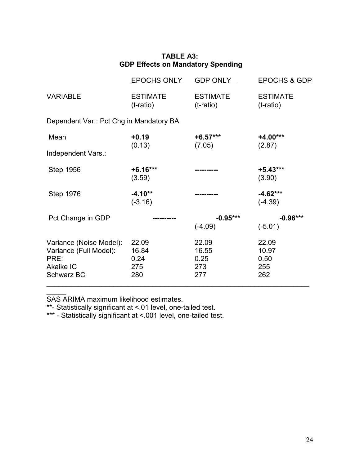|                                                                                             | <b>EPOCHS ONLY</b>                   | <b>GDP ONLY</b>                      | <b>EPOCHS &amp; GDP</b>              |  |  |  |
|---------------------------------------------------------------------------------------------|--------------------------------------|--------------------------------------|--------------------------------------|--|--|--|
| <b>VARIABLE</b>                                                                             | <b>ESTIMATE</b><br>$(t$ -ratio)      | <b>ESTIMATE</b><br>(t-ratio)         | <b>ESTIMATE</b><br>(t-ratio)         |  |  |  |
| Dependent Var.: Pct Chg in Mandatory BA                                                     |                                      |                                      |                                      |  |  |  |
| Mean                                                                                        | $+0.19$                              | $+6.57***$                           | $+4.00***$                           |  |  |  |
| Independent Vars.:                                                                          | (0.13)                               | (7.05)                               | (2.87)                               |  |  |  |
| <b>Step 1956</b>                                                                            | $+6.16***$<br>(3.59)                 |                                      | $+5.43***$<br>(3.90)                 |  |  |  |
| <b>Step 1976</b>                                                                            | $-4.10**$<br>$(-3.16)$               |                                      | $-4.62***$<br>$(-4.39)$              |  |  |  |
| Pct Change in GDP                                                                           |                                      | $-0.95***$                           | $-0.96***$                           |  |  |  |
|                                                                                             |                                      | $(-4.09)$                            | $(-5.01)$                            |  |  |  |
| Variance (Noise Model):<br>Variance (Full Model):<br>PRE:<br>Akaike IC<br><b>Schwarz BC</b> | 22.09<br>16.84<br>0.24<br>275<br>280 | 22.09<br>16.55<br>0.25<br>273<br>277 | 22.09<br>10.97<br>0.50<br>255<br>262 |  |  |  |

# **TABLE A3: GDP Effects on Mandatory Spending**

 $\mathcal{L}=\mathcal{L}$ SAS ARIMA maximum likelihood estimates.

\*\*- Statistically significant at <.01 level, one-tailed test.

\*\*\* - Statistically significant at <.001 level, one-tailed test.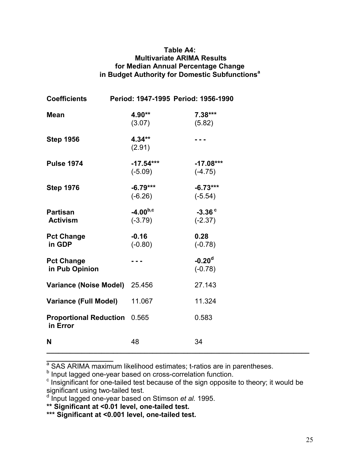## **Table A4: Multivariate ARIMA Results for Median Annual Percentage Change in Budget Authority for Domestic Subfunctions<sup>a</sup>**

| <b>Coefficients</b>                             | Period: 1947-1995 Period: 1956-1990 |                          |  |
|-------------------------------------------------|-------------------------------------|--------------------------|--|
| <b>Mean</b>                                     | 4.90**<br>(3.07)                    | $7.38***$<br>(5.82)      |  |
| <b>Step 1956</b>                                | $4.34**$<br>(2.91)                  |                          |  |
| <b>Pulse 1974</b>                               | $-17.54***$<br>$(-5.09)$            | $-17.08***$<br>$(-4.75)$ |  |
| <b>Step 1976</b>                                | $-6.79***$<br>$(-6.26)$             | $-6.73***$<br>$(-5.54)$  |  |
| <b>Partisan</b><br><b>Activism</b>              | $-4.00^{b,c}$<br>$(-3.79)$          | $-3.36c$<br>$(-2.37)$    |  |
| <b>Pct Change</b><br>in GDP                     | $-0.16$<br>$(-0.80)$                | 0.28<br>$(-0.78)$        |  |
| <b>Pct Change</b><br>in Pub Opinion             |                                     | $-0.20d$<br>$(-0.78)$    |  |
| <b>Variance (Noise Model)</b>                   | 25.456                              | 27.143                   |  |
| <b>Variance (Full Model)</b>                    | 11.067                              | 11.324                   |  |
| <b>Proportional Reduction</b> 0.565<br>in Error |                                     | 0.583                    |  |
| N                                               | 48                                  | 34                       |  |

a<br> **a SAS ARIMA maximum likelihood estimates**; t-ratios are in parentheses.

<sup>b</sup> Input lagged one-year based on cross-correlation function.

**\*\* Significant at <0.01 level, one-tailed test.** 

**\*\*\* Significant at <0.001 level, one-tailed test.**

 $\epsilon$  Insignificant for one-tailed test because of the sign opposite to theory; it would be significant using two-tailed test.

d Input lagged one-year based on Stimson *et al.* 1995.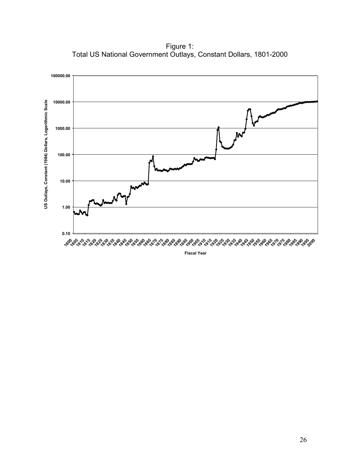Figure 1: Total US National Government Outlays, Constant Dollars, 1801-2000



**Fiscal Year**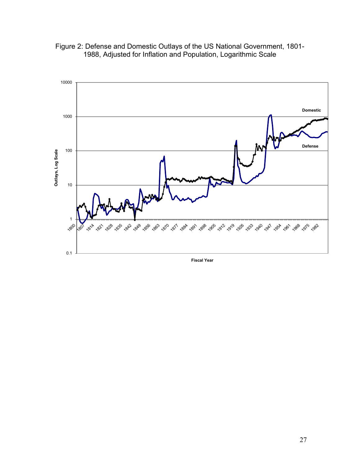

Figure 2: Defense and Domestic Outlays of the US National Government, 1801- 1988, Adjusted for Inflation and Population, Logarithmic Scale

**Fiscal Year**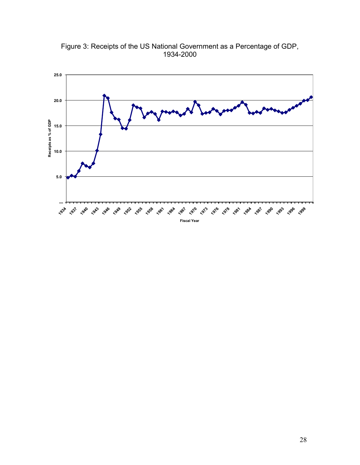Figure 3: Receipts of the US National Government as a Percentage of GDP, 1934-2000

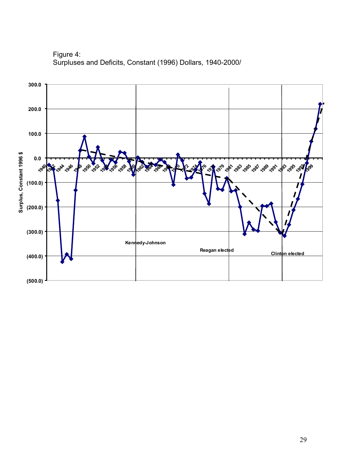

Figure 4: Surpluses and Deficits, Constant (1996) Dollars, 1940-2000/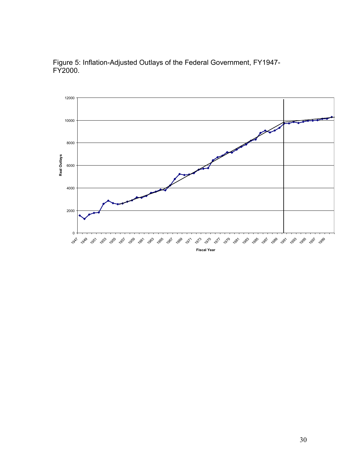

Figure 5: Inflation-Adjusted Outlays of the Federal Government, FY1947- FY2000.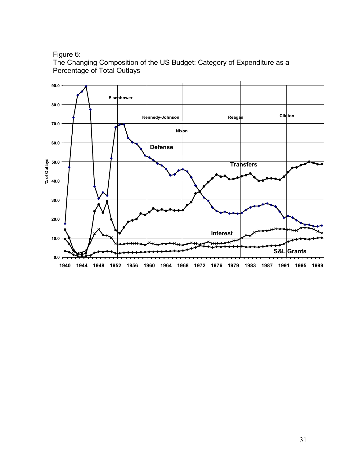Figure 6:

The Changing Composition of the US Budget: Category of Expenditure as a Percentage of Total Outlays

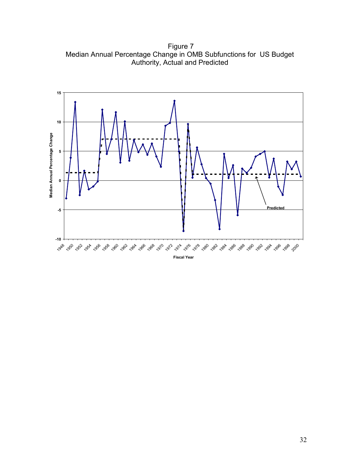Figure 7 Median Annual Percentage Change in OMB Subfunctions for US Budget Authority, Actual and Predicted

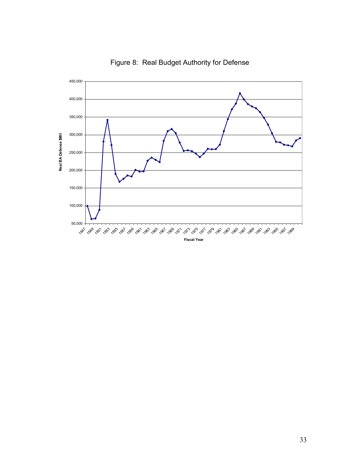

Figure 8: Real Budget Authority for Defense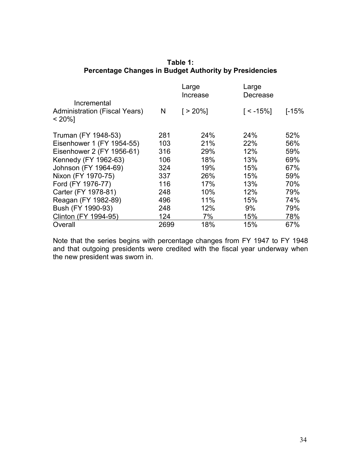| Incremental                                        |      | Large<br>Increase | Large<br>Decrease |       |
|----------------------------------------------------|------|-------------------|-------------------|-------|
| <b>Administration (Fiscal Years)</b><br>$< 20\%$ ] | N    | $\lceil$ > 20%]   | $\lceil$ < -15%]  | [-15% |
| Truman (FY 1948-53)                                | 281  | 24%               | 24%               | 52%   |
| Eisenhower 1 (FY 1954-55)                          | 103  | 21%               | 22%               | 56%   |
| Eisenhower 2 (FY 1956-61)                          | 316  | 29%               | 12%               | 59%   |
| Kennedy (FY 1962-63)                               | 106  | 18%               | 13%               | 69%   |
| Johnson (FY 1964-69)                               | 324  | 19%               | 15%               | 67%   |
| Nixon (FY 1970-75)                                 | 337  | 26%               | 15%               | 59%   |
| Ford (FY 1976-77)                                  | 116  | 17%               | 13%               | 70%   |
| Carter (FY 1978-81)                                | 248  | 10%               | 12%               | 79%   |
| Reagan (FY 1982-89)                                | 496  | 11%               | 15%               | 74%   |
| Bush (FY 1990-93)                                  | 248  | 12%               | 9%                | 79%   |
| Clinton (FY 1994-95)                               | 124  | 7%                | 15%               | 78%   |
| Overall                                            | 2699 | 18%               | 15%               | 67%   |

# **Table 1: Percentage Changes in Budget Authority by Presidencies**

Note that the series begins with percentage changes from FY 1947 to FY 1948 and that outgoing presidents were credited with the fiscal year underway when the new president was sworn in.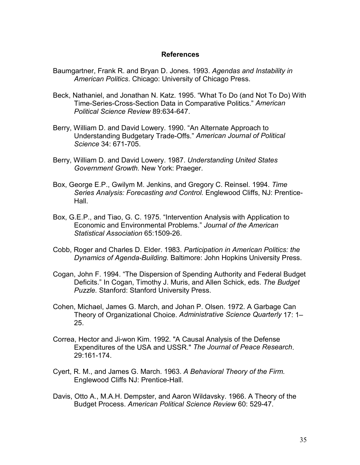#### **References**

- Baumgartner, Frank R. and Bryan D. Jones. 1993. *Agendas and Instability in American Politics*. Chicago: University of Chicago Press.
- Beck, Nathaniel, and Jonathan N. Katz. 1995. "What To Do (and Not To Do) With Time-Series-Cross-Section Data in Comparative Politics." *American Political Science Review* 89:634-647.
- Berry, William D. and David Lowery. 1990. "An Alternate Approach to Understanding Budgetary Trade-Offs." *American Journal of Political Science* 34: 671-705.
- Berry, William D. and David Lowery. 1987. *Understanding United States Government Growth.* New York: Praeger.
- Box, George E.P., Gwilym M. Jenkins, and Gregory C. Reinsel. 1994. *Time Series Analysis: Forecasting and Control.* Englewood Cliffs, NJ: Prentice-Hall.
- Box, G.E.P., and Tiao, G. C. 1975. "Intervention Analysis with Application to Economic and Environmental Problems." *Journal of the American Statistical Association* 65:1509-26.
- Cobb, Roger and Charles D. Elder. 1983. *Participation in American Politics: the Dynamics of Agenda-Building.* Baltimore: John Hopkins University Press.
- Cogan, John F. 1994. "The Dispersion of Spending Authority and Federal Budget Deficits." In Cogan, Timothy J. Muris, and Allen Schick, eds. *The Budget Puzzle.* Stanford: Stanford University Press.
- Cohen, Michael, James G. March, and Johan P. Olsen. 1972. A Garbage Can Theory of Organizational Choice. *Administrative Science Quarterly* 17: 1– 25.
- Correa, Hector and Ji-won Kim. 1992. "A Causal Analysis of the Defense Expenditures of the USA and USSR." *The Journal of Peace Research*. 29:161-174.
- Cyert, R. M., and James G. March. 1963. *A Behavioral Theory of the Firm.* Englewood Cliffs NJ: Prentice-Hall.
- Davis, Otto A., M.A.H. Dempster, and Aaron Wildavsky. 1966. A Theory of the Budget Process. *American Political Science Review* 60: 529-47.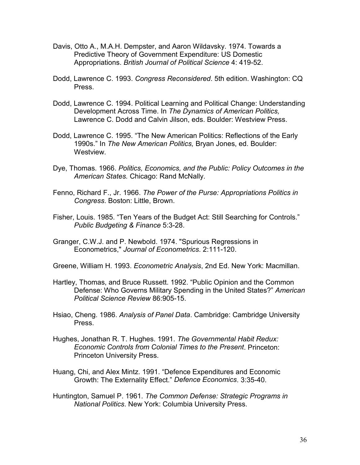- Davis, Otto A., M.A.H. Dempster, and Aaron Wildavsky. 1974. Towards a Predictive Theory of Government Expenditure: US Domestic Appropriations. *British Journal of Political Science* 4: 419-52.
- Dodd, Lawrence C. 1993. *Congress Reconsidered*. 5th edition. Washington: CQ Press.
- Dodd, Lawrence C. 1994. Political Learning and Political Change: Understanding Development Across Time. In *The Dynamics of American Politics,* Lawrence C. Dodd and Calvin Jilson, eds. Boulder: Westview Press.
- Dodd, Lawrence C. 1995. "The New American Politics: Reflections of the Early 1990s." In *The New American Politics,* Bryan Jones, ed. Boulder: Westview.
- Dye, Thomas. 1966. *Politics, Economics, and the Public: Policy Outcomes in the American States.* Chicago: Rand McNally.
- Fenno, Richard F., Jr. 1966. *The Power of the Purse: Appropriations Politics in Congress*. Boston: Little, Brown.
- Fisher, Louis. 1985. "Ten Years of the Budget Act: Still Searching for Controls." *Public Budgeting & Finance* 5:3-28.
- Granger, C.W.J. and P. Newbold. 1974. "Spurious Regressions in Econometrics," *Journal of Econometrics*. 2:111-120.
- Greene, William H. 1993. *Econometric Analysis*, 2nd Ed. New York: Macmillan.
- Hartley, Thomas, and Bruce Russett. 1992. "Public Opinion and the Common Defense: Who Governs Military Spending in the United States?" *American Political Science Review* 86:905-15.
- Hsiao, Cheng. 1986. *Analysis of Panel Data*. Cambridge: Cambridge University Press.
- Hughes, Jonathan R. T. Hughes. 1991. *The Governmental Habit Redux: Economic Controls from Colonial Times to the Present*. Princeton: Princeton University Press.
- Huang, Chi, and Alex Mintz. 1991. "Defence Expenditures and Economic Growth: The Externality Effect." *Defence Economics*. 3:35-40.
- Huntington, Samuel P. 1961. *The Common Defense: Strategic Programs in National Politics*. New York: Columbia University Press.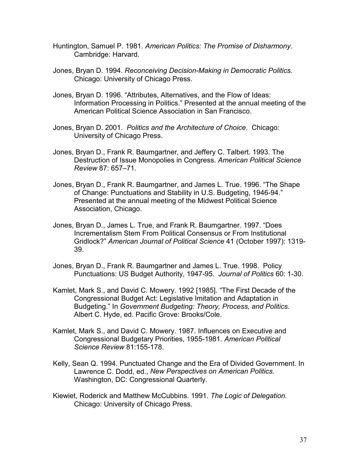- Huntington, Samuel P. 1981. *American Politics: The Promise of Disharmony.* Cambridge: Harvard.
- Jones, Bryan D. 1994. *Reconceiving Decision-Making in Democratic Politics.* Chicago: University of Chicago Press.
- Jones, Bryan D. 1996. "Attributes, Alternatives, and the Flow of Ideas: Information Processing in Politics." Presented at the annual meeting of the American Political Science Association in San Francisco.
- Jones, Bryan D. 2001. *Politics and the Architecture of Choice*. Chicago: University of Chicago Press.
- Jones, Bryan D., Frank R. Baumgartner, and Jeffery C. Talbert. 1993. The Destruction of Issue Monopolies in Congress. *American Political Science Review* 87: 657–71.
- Jones, Bryan D., Frank R. Baumgartner, and James L. True. 1996. "The Shape of Change: Punctuations and Stability in U.S. Budgeting, 1946-94." Presented at the annual meeting of the Midwest Political Science Association, Chicago.
- Jones, Bryan D., James L. True, and Frank R. Baumgartner. 1997. "Does Incrementalism Stem From Political Consensus or From Institutional Gridlock?" *American Journal of Political Science* 41 (October 1997): 1319- 39.
- Jones, Bryan D., Frank R. Baumgartner and James L. True. 1998. Policy Punctuations: US Budget Authority, 1947-95. *Journal of Politics* 60: 1-30.
- Kamlet, Mark S., and David C. Mowery. 1992 [1985]. "The First Decade of the Congressional Budget Act: Legislative Imitation and Adaptation in Budgeting." In *Government Budgeting: Theory, Process, and Politics*. Albert C. Hyde, ed. Pacific Grove: Brooks/Cole.
- Kamlet, Mark S., and David C. Mowery. 1987. Influences on Executive and Congressional Budgetary Priorities, 1955-1981. *American Political Science Review* 81:155-178.
- Kelly, Sean Q. 1994. Punctuated Change and the Era of Divided Government. In Lawrence C. Dodd, ed., *New Perspectives on American Politics.* Washington, DC: Congressional Quarterly.
- Kiewiet, Roderick and Matthew McCubbins. 1991. *The Logic of Delegation.* Chicago: University of Chicago Press.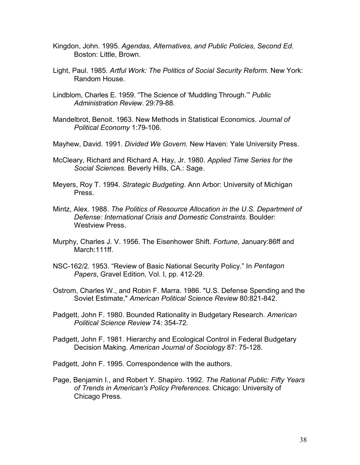- Kingdon, John. 1995. *Agendas, Alternatives, and Public Policies, Second Ed.* Boston: Little, Brown.
- Light, Paul. 1985. *Artful Work: The Politics of Social Security Reform.* New York: Random House.
- Lindblom, Charles E. 1959. "The Science of 'Muddling Through.'" *Public Administration Review*. 29:79-88.
- Mandelbrot, Benoit. 1963. New Methods in Statistical Economics. *Journal of Political Economy* 1:79-106.
- Mayhew, David. 1991. *Divided We Govern.* New Haven: Yale University Press.
- McCleary, Richard and Richard A. Hay, Jr. 1980. *Applied Time Series for the Social Sciences.* Beverly Hills, CA.: Sage.
- Meyers, Roy T. 1994. *Strategic Budgeting*. Ann Arbor: University of Michigan Press.
- Mintz, Alex. 1988. *The Politics of Resource Allocation in the U.S. Department of Defense: International Crisis and Domestic Constraints*. Boulder: Westview Press.
- Murphy, Charles J. V. 1956. The Eisenhower Shift. *Fortune*, January:86ff and March: 111ff.
- NSC-162/2. 1953. "Review of Basic National Security Policy." In *Pentagon Papers*, Gravel Edition, Vol. I, pp. 412-29.
- Ostrom, Charles W., and Robin F. Marra. 1986. "U.S. Defense Spending and the Soviet Estimate," *American Political Science Review* 80:821-842.
- Padgett, John F. 1980. Bounded Rationality in Budgetary Research. *American Political Science Review* 74: 354-72.
- Padgett, John F. 1981. Hierarchy and Ecological Control in Federal Budgetary Decision Making. *American Journal of Sociology* 87: 75-128.

Padgett, John F. 1995. Correspondence with the authors.

Page, Benjamin I., and Robert Y. Shapiro. 1992. *The Rational Public: Fifty Years of Trends in American's Policy Preferences.* Chicago: University of Chicago Press.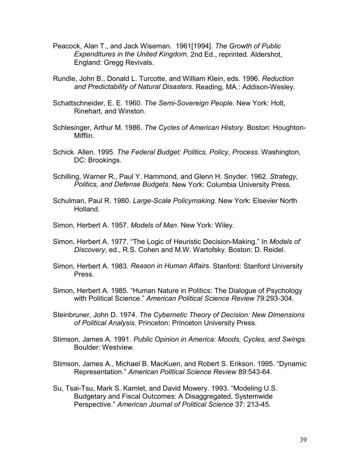- Peacock, Alan T., and Jack Wiseman. 1961[1994]. *The Growth of Public Expenditures in the United Kingdom*. 2nd Ed., reprinted. Aldershot, England: Gregg Revivals.
- Rundle, John B., Donald L. Turcotte, and William Klein, eds. 1996. *Reduction and Predictability of Natural Disasters.* Reading, MA.: Addison-Wesley.
- Schattschneider, E. E. 1960. *The Semi-Sovereign People.* New York: Holt, Rinehart, and Winston.
- Schlesinger, Arthur M. 1986. *The Cycles of American History.* Boston: Houghton-Mifflin.
- Schick. Allen. 1995. *The Federal Budget: Politics, Policy, Process.* Washington, DC: Brookings.
- Schilling, Warner R., Paul Y. Hammond, and Glenn H. Snyder. 1962. *Strategy, Politics, and Defense Budgets*. New York: Columbia University Press.
- Schulman, Paul R. 1980. *Large-Scale Policymaking.* New York: Elsevier North Holland.
- Simon, Herbert A. 1957. *Models of Man*. New York: Wiley.
- Simon, Herbert A. 1977. "The Logic of Heuristic Decision-Making." In *Models of Discovery*, ed., R.S. Cohen and M.W. Wartofsky. Boston: D. Reidel.
- Simon, Herbert A. 1983. *Reason in Human Affairs.* Stanford: Stanford University Press.
- Simon, Herbert A. 1985. "Human Nature in Politics: The Dialogue of Psychology with Political Science." *American Political Science Review* 79:293-304.
- Steinbruner, John D. 1974. *The Cybernetic Theory of Decision: New Dimensions of Political Analysis*. Princeton: Princeton University Press.
- Stimson, James A. 1991. *Public Opinion in America: Moods, Cycles, and Swings.* Boulder: Westview.
- Stimson, James A., Michael B. MacKuen, and Robert S. Erikson. 1995. "Dynamic Representation." *American Political Science Review* 89:543-64.
- Su, Tsai-Tsu, Mark S. Kamlet, and David Mowery. 1993. "Modeling U.S. Budgetary and Fiscal Outcomes: A Disaggregated, Systemwide Perspective." *American Journal of Political Science* 37: 213-45.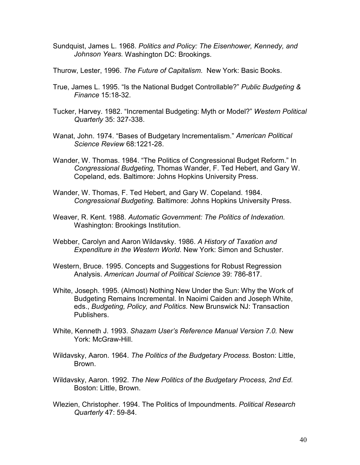Sundquist, James L. 1968. *Politics and Policy: The Eisenhower, Kennedy, and Johnson Years.* Washington DC: Brookings.

Thurow, Lester, 1996. *The Future of Capitalism*. New York: Basic Books.

- True, James L. 1995. "Is the National Budget Controllable?" *Public Budgeting & Finance* 15:18-32.
- Tucker, Harvey. 1982. "Incremental Budgeting: Myth or Model?" *Western Political Quarterly* 35: 327-338.
- Wanat, John. 1974. "Bases of Budgetary Incrementalism." *American Political Science Review* 68:1221-28.
- Wander, W. Thomas. 1984. "The Politics of Congressional Budget Reform." In *Congressional Budgeting,* Thomas Wander, F. Ted Hebert, and Gary W. Copeland, eds. Baltimore: Johns Hopkins University Press.
- Wander, W. Thomas, F. Ted Hebert, and Gary W. Copeland. 1984. *Congressional Budgeting.* Baltimore: Johns Hopkins University Press.
- Weaver, R. Kent. 1988. *Automatic Government: The Politics of Indexation.* Washington: Brookings Institution.
- Webber, Carolyn and Aaron Wildavsky. 1986. *A History of Taxation and Expenditure in the Western World*. New York: Simon and Schuster.
- Western, Bruce. 1995. Concepts and Suggestions for Robust Regression Analysis. *American Journal of Political Science* 39: 786-817.
- White, Joseph. 1995. (Almost) Nothing New Under the Sun: Why the Work of Budgeting Remains Incremental. In Naoimi Caiden and Joseph White, eds., *Budgeting, Policy, and Politics.* New Brunswick NJ: Transaction Publishers.
- White, Kenneth J. 1993. *Shazam User's Reference Manual Version 7.0.* New York: McGraw-Hill.
- Wildavsky, Aaron. 1964. *The Politics of the Budgetary Process.* Boston: Little, Brown.
- Wildavsky, Aaron. 1992. *The New Politics of the Budgetary Process, 2nd Ed.* Boston: Little, Brown.
- Wlezien, Christopher. 1994. The Politics of Impoundments. *Political Research Quarterly* 47: 59-84.